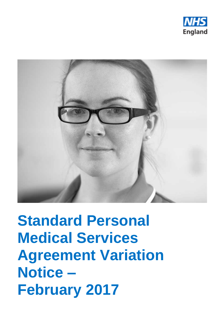



# **Standard Personal Medical Services Agreement Variation Notice – February 2017**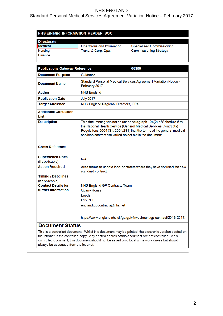## Standard Personal Medical Services Agreement Variation Notice – February 2017

#### NHS England INFORMATION READER BOX

| <b>Directorate</b> |                            |                               |
|--------------------|----------------------------|-------------------------------|
| Medical            | Operations and Information | Specialised Commissioning     |
| Nursing            | Trans. & Corp. Ops.        | <b>Commissioning Strategy</b> |
| l Finance          |                            |                               |

| <b>Publications Gateway Reference:</b><br>06890 |                                                                                                                                                                                                                                                                              |  |
|-------------------------------------------------|------------------------------------------------------------------------------------------------------------------------------------------------------------------------------------------------------------------------------------------------------------------------------|--|
| <b>Document Purpose</b>                         | Guidance                                                                                                                                                                                                                                                                     |  |
| <b>Document Name</b>                            | Standard Personal Medical Services Agreement Variation Notice -<br>February 2017                                                                                                                                                                                             |  |
| <b>Author</b>                                   | <b>NHS England</b>                                                                                                                                                                                                                                                           |  |
| <b>Publication Date</b>                         | <b>July 2017</b>                                                                                                                                                                                                                                                             |  |
| <b>Target Audience</b>                          | NHS England Regional Directors, GPs                                                                                                                                                                                                                                          |  |
| <b>Additional Circulation</b><br>List           |                                                                                                                                                                                                                                                                              |  |
| <b>Description</b>                              | This document gives notice under paragraph 104(2) of Schedule 6 to<br>the National Health Service (General Medical Services Contracts)<br>Regulations 2004 (S.I. 2004/291) that the terms of the general medical<br>services contract are varied as set out in the document. |  |
| <b>Cross Reference</b>                          |                                                                                                                                                                                                                                                                              |  |
| <b>Superseded Docs</b><br>(if applicable)       | N/A                                                                                                                                                                                                                                                                          |  |
| <b>Action Required</b>                          | Area teams to update local contracts where they have not used the new<br>standard contract.                                                                                                                                                                                  |  |
| <b>Timing / Deadlines</b><br>(if applicable)    |                                                                                                                                                                                                                                                                              |  |
| <b>Contact Details for</b>                      | NHS England GP Contracts Team                                                                                                                                                                                                                                                |  |
| further information                             | <b>Quarry House</b>                                                                                                                                                                                                                                                          |  |
|                                                 | Leeds                                                                                                                                                                                                                                                                        |  |
|                                                 | LS27UE                                                                                                                                                                                                                                                                       |  |
|                                                 | england.gpcontracts@nhs.net                                                                                                                                                                                                                                                  |  |
| oumant Ctatua                                   | https://www.england.nhs.uk/gp/gpfv/investment/gp-contract/2016-2017/                                                                                                                                                                                                         |  |

#### **Document Status**

This is a controlled document. Whilst this document may be printed, the electronic version posted on the intranet is the controlled copy. Any printed copies of this document are not controlled. As a controlled document, this document should not be saved onto local or network drives but should always be accessed from the intranet.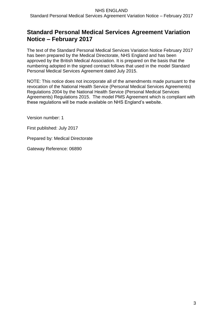# **Standard Personal Medical Services Agreement Variation Notice – February 2017**

The text of the Standard Personal Medical Services Variation Notice February 2017 has been prepared by the Medical Directorate, NHS England and has been approved by the British Medical Association. It is prepared on the basis that the numbering adopted in the signed contract follows that used in the model Standard Personal Medical Services Agreement dated July 2015.

NOTE: This notice does not incorporate all of the amendments made pursuant to the revocation of the National Health Service (Personal Medical Services Agreements) Regulations 2004 by the National Health Service (Personal Medical Services Agreements) Regulations 2015. The model PMS Agreement which is compliant with these regulations will be made available on NHS England's website.

Version number: 1

First published: July 2017

Prepared by: Medical Directorate

Gateway Reference: 06890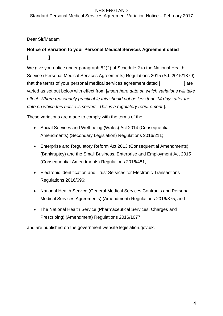#### NHS ENGLAND Standard Personal Medical Services Agreement Variation Notice – February 2017

## Dear Sir/Madam

# **Notice of Variation to your Personal Medical Services Agreement dated [ ]**

We give you notice under paragraph 52(2) of Schedule 2 to the National Health Service (Personal Medical Services Agreements) Regulations 2015 (S.I. 2015/1879) that the terms of your personal medical services agreement dated [  $\qquad$  ] are varied as set out below with effect from [*insert here date on which variations will take effect. Where reasonably practicable this should not be less than 14 days after the date on which this notice is served. This is a regulatory requirement.*].

These variations are made to comply with the terms of the:

- Social Services and Well-being (Wales) Act 2014 (Consequential Amendments) (Secondary Legislation) Regulations 2016/211;
- Enterprise and Regulatory Reform Act 2013 (Consequential Amendments) (Bankruptcy) and the Small Business, Enterprise and Employment Act 2015 (Consequential Amendments) Regulations 2016/481;
- Electronic Identification and Trust Services for Electronic Transactions Regulations 2016/696;
- National Health Service (General Medical Services Contracts and Personal Medical Services Agreements) (Amendment) Regulations 2016/875, and
- The National Health Service (Pharmaceutical Services, Charges and Prescribing) (Amendment) Regulations 2016/1077

and are published on the government website legislation.gov.uk.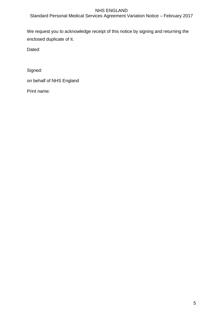Standard Personal Medical Services Agreement Variation Notice – February 2017

We request you to acknowledge receipt of this notice by signing and returning the enclosed duplicate of it.

Dated:

Signed:

on behalf of NHS England

Print name: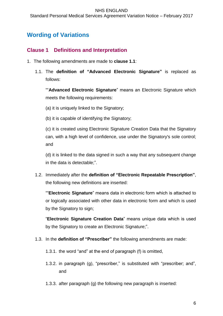# **Wording of Variations**

## **Clause 1 Definitions and Interpretation**

- 1. The following amendments are made to **clause 1.1**:
	- 1.1. The **definition of "Advanced Electronic Signature"** is replaced as follows:

""**Advanced Electronic Signature**" means an Electronic Signature which meets the following requirements:

(a) it is uniquely linked to the Signatory;

(b) it is capable of identifying the Signatory;

(c) it is created using Electronic Signature Creation Data that the Signatory can, with a high level of confidence, use under the Signatory's sole control; and

(d) it is linked to the data signed in such a way that any subsequent change in the data is detectable;".

1.2. Immediately after the **definition of "Electronic Repeatable Prescription"**, the following new definitions are inserted:

""**Electronic Signature**" means data in electronic form which is attached to or logically associated with other data in electronic form and which is used by the Signatory to sign;

"**Electronic Signature Creation Data**" means unique data which is used by the Signatory to create an Electronic Signature;".

1.3. In the **definition of "Prescriber"** the following amendments are made:

1.3.1. the word "and" at the end of paragraph (f) is omitted,

- 1.3.2. in paragraph (g), "prescriber," is substituted with "prescriber; and", and
- 1.3.3. after paragraph (g) the following new paragraph is inserted: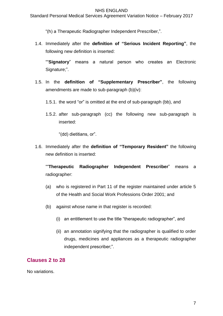Standard Personal Medical Services Agreement Variation Notice – February 2017

"(h) a Therapeutic Radiographer Independent Prescriber,".

1.4. Immediately after the **definition of "Serious Incident Reporting"**, the following new definition is inserted:

""**Signatory**" means a natural person who creates an Electronic Signature;".

- 1.5. In the **definition of "Supplementary Prescriber"**, the following amendments are made to sub-paragraph (b)(iv):
	- 1.5.1. the word "or" is omitted at the end of sub-paragraph (bb), and
	- 1.5.2. after sub-paragraph (cc) the following new sub-paragraph is inserted:

"(dd) dietitians, or".

1.6. Immediately after the **definition of "Temporary Resident"** the following new definition is inserted:

""**Therapeutic Radiographer Independent Prescriber**" means a radiographer:

- (a) who is registered in Part 11 of the register maintained under article 5 of the Health and Social Work Professions Order 2001; and
- (b) against whose name in that register is recorded:
	- (i) an entitlement to use the title "therapeutic radiographer", and
	- (ii) an annotation signifying that the radiographer is qualified to order drugs, medicines and appliances as a therapeutic radiographer independent prescriber;".

## **Clauses 2 to 28**

No variations.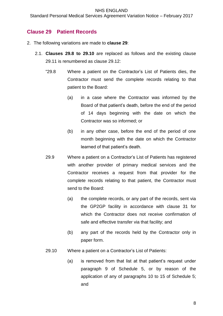Standard Personal Medical Services Agreement Variation Notice – February 2017

## **Clause 29 Patient Records**

- 2. The following variations are made to **clause 29**:
	- 2.1. **Clauses 29.8 to 29.10** are replaced as follows and the existing clause 29.11 is renumbered as clause 29.12:
		- "29.8 Where a patient on the Contractor's List of Patients dies, the Contractor must send the complete records relating to that patient to the Board:
			- (a) in a case where the Contractor was informed by the Board of that patient's death, before the end of the period of 14 days beginning with the date on which the Contractor was so informed; or
			- (b) in any other case, before the end of the period of one month beginning with the date on which the Contractor learned of that patient's death.
		- 29.9 Where a patient on a Contractor's List of Patients has registered with another provider of primary medical services and the Contractor receives a request from that provider for the complete records relating to that patient, the Contractor must send to the Board:
			- (a) the complete records, or any part of the records, sent via the GP2GP facility in accordance with clause 31 for which the Contractor does not receive confirmation of safe and effective transfer via that facility; and
			- (b) any part of the records held by the Contractor only in paper form.
		- 29.10 Where a patient on a Contractor's List of Patients:
			- (a) is removed from that list at that patient's request under paragraph 9 of Schedule 5, or by reason of the application of any of paragraphs 10 to 15 of Schedule 5; and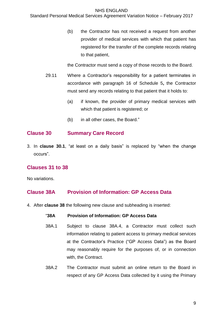#### Standard Personal Medical Services Agreement Variation Notice – February 2017

(b) the Contractor has not received a request from another provider of medical services with which that patient has registered for the transfer of the complete records relating to that patient,

the Contractor must send a copy of those records to the Board.

- 29.11 Where a Contractor's responsibility for a patient terminates in accordance with paragraph 16 of Schedule 5**,** the Contractor must send any records relating to that patient that it holds to:
	- (a) if known, the provider of primary medical services with which that patient is registered; or
	- (b) in all other cases, the Board."

## **Clause 30 Summary Care Record**

3. In **clause 30.1**, "at least on a daily basis" is replaced by "when the change occurs".

## **Clauses 31 to 38**

No variations.

## **Clause 38A Provision of Information: GP Access Data**

4. After **clause 38** the following new clause and subheading is inserted:

#### "**38A Provision of Information: GP Access Data**

- 38A.1 Subject to clause 38A.4, a Contractor must collect such information relating to patient access to primary medical services at the Contractor's Practice ("GP Access Data") as the Board may reasonably require for the purposes of, or in connection with, the Contract.
- 38A.2 The Contractor must submit an online return to the Board in respect of any GP Access Data collected by it using the Primary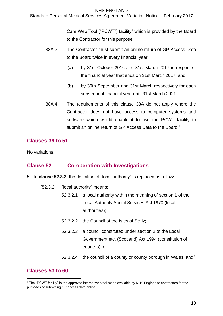Standard Personal Medical Services Agreement Variation Notice – February 2017

Care Web Tool ("PCWT") facility<sup>1</sup> which is provided by the Board to the Contractor for this purpose.

- 38A.3 The Contractor must submit an online return of GP Access Data to the Board twice in every financial year:
	- (a) by 31st October 2016 and 31st March 2017 in respect of the financial year that ends on 31st March 2017; and
	- (b) by 30th September and 31st March respectively for each subsequent financial year until 31st March 2021.
- 38A.4 The requirements of this clause 38A do not apply where the Contractor does not have access to computer systems and software which would enable it to use the PCWT facility to submit an online return of GP Access Data to the Board."

## **Clauses 39 to 51**

No variations.

## **Clause 52 Co-operation with Investigations**

- 5. In **clause 52.3.2**, the definition of "local authority" is replaced as follows:
	- "52.3.2 "local authority" means:
		- 52.3.2.1 a local authority within the meaning of section 1 of the Local Authority Social Services Act 1970 (local authorities);
		- 52.3.2.2 the Council of the Isles of Scilly;
		- 52.3.2.3 a council constituted under section 2 of the Local Government etc. (Scotland) Act 1994 (constitution of councils); or
		- 52.3.2.4 the council of a county or county borough in Wales; and"

## **Clauses 53 to 60**

1

 $1$  The "PCWT facility" is the approved internet webtool made available by NHS England to contractors for the purposes of submitting GP access data online.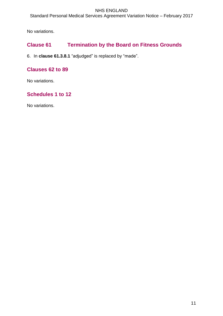Standard Personal Medical Services Agreement Variation Notice – February 2017

No variations.

# **Clause 61 Termination by the Board on Fitness Grounds**

6. In **clause 61.3.8.1** "adjudged" is replaced by "made".

## **Clauses 62 to 89**

No variations.

# **Schedules 1 to 12**

No variations.